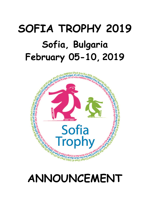# **SOFIA TROPHY 2019 Sofia, Bulgaria February 05-10, 2019**



## **ANNOUNCEMENT**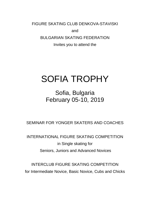FIGURE SKATING CLUB DENKOVA-STAVISKI

and

BULGARIAN SKATING FEDERATION

Invites you to attend the

## SOFIA TROPHY

Sofia, Bulgaria February 05-10, 2019

SEMINAR FOR YONGER SKATERS AND COACHES

INTERNATIONAL FIGURE SKATING COMPETITION in Single skating for Seniors, Juniors and Advanced Novices

INTERCLUB FIGURE SKATING COMPETITION for Intermediate Novice, Basic Novice, Cubs and Chicks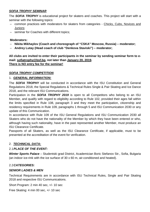## *SOFIA TROPHY SEMINAR*

The *SOFIA TROPHY* is educational project for skaters and coaches. This project will start with a seminar with the following topics:

- common practices with moderators for skaters from categories Chicks, Cubs, Novices and Juniors;
- seminar for Coaches with different topics;

## **Moderators:**

- **Nikita Mikhaylov (Coach and choreograph of "CSKA" Moscow, Russia) – moderator;**
- **Andrey Lutay (Head coach of club "Denkova Staviski") – moderator;**

**All clubs are invited to enter their participants in the seminar by sending seminar form to email: [sofiatrophy@bsf.bg,](mailto:sofiatrophy@bsf.bg) not later than January 20, 2019. There is NO entry fee for the seminar!**

## *SOFIA TROPHY COMPETITION*

## 1. *GENERAL INFORMATION:*

The *SOFIA TROPHY* will be conducted in accordance with the ISU Constitution and General Regulations 2018, the Special Regulations & Technical Rules Single & Pair Skating and Ice Dance 2018, and the relevant ISU Communications.

Participation in the *SOFIA TROPHY 2019* is open to all Competitors who belong to an ISU Member, and qualify with regard to eligibility according to Rule 102, provided their ages fall within the limits specified in Rule 108, paragraph 3 and they meet the participation, citizenship and residency requirements in Rule 109, paragraphs 1 through 5 and ISU Communication 2030 or any update of this Communication.

In accordance with Rule 109 of the ISU General Regulations and ISU Communication 2030 all Skaters who do not have the nationality of the Member by which they have been entered or who, although having such nationality, have in the past represented another Member, must produce an ISU Clearance Certificate.

Passports of all Skaters, as well as the ISU Clearance Certificate, if applicable, must to be presented at the accreditation of the event for verification.

## 2. *TECHNICAL DATA:*

## 2.1*PLACE OF THE EVENT:*

*Winter Sports Palace* – Studentski grad District, Academician Boric Stefanov Str., Sofia, Bulgaria (an indoor ice-rink with the ice surface of 30 x 60 m, air-conditioned and heated).

## 2.2*CATEGORIES:*

## *SENIOR LADIES & MEN*

Technical Requirements are in accordance with ISU Technical Rules, Single and Pair Skating 2018 and respective ISU Communications.

Short Program: 2 min 40 sec, +/- 10 sec

Free Skating: 4 min 00 sec, +/- 10 sec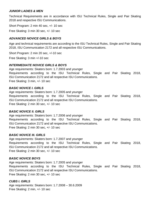## *JUNIOR LADIES & MEN*

Technical Requirements are in accordance with ISU Technical Rules, Single and Pair Skating 2018 and respective ISU Communications.

Short Program: 2 min 40 sec, +/- 10 sec

Free Skating: 3 min 30 sec, +/- 10 sec

## *ADVANCED NOVICE GIRLS & BOYS*

Age and technical requirements are according to the ISU Technical Rules, Single and Pair Skating 2018, ISU Communication 2172 and all respective ISU Communications.

Short Program: 2 min 20 sec, +/-10 sec

Free Skating: 3 min +/-10 sec

## *INTERMEDIATE NOVICE GIRLS & BOYS*

Age requirements: Skaters born: 1.7.2003 and younger Requirements according to the ISU Technical Rules, Single and Pair Skating 2018, ISU Communication 2172 and all respective ISU Communications. Free Skating: 3 min, +/- 10 sec

## *BASIC NOVICE I. GIRLS*

Age requirements: Skaters born: 1.7.2005 and younger Requirements according to the ISU Technical Rules, Single and Pair Skating 2018, ISU Communication 2172 and all respective ISU Communications. Free Skating: 2 min 30 sec, +/- 10 sec

## *BASIC NOVICE II. GIRLS*

Age requirements: Skaters born: 1.7.2006 and younger Requirements according to the ISU Technical Rules, Single and Pair Skating 2018, ISU Communication 2172 and all respective ISU Communications. Free Skating: 2 min 30 sec, +/- 10 sec

## *BASIC NOVICE III. GIRLS*

Age requirements: Skaters born: 1.7.2007 and younger Requirements according to the ISU Technical Rules, Single and Pair Skating 2018, ISU Communication 2172 and all respective ISU Communications. Free Skating: 2 min 30 sec, +/- 10 sec

## *BASIC NOVICE BOYS*

Age requirements: Skaters born: 1.7.2005 and younger Requirements according to the ISU Technical Rules, Single and Pair Skating 2018, ISU Communication 2172 and all respective ISU Communications. Free Skating: 2 min 30 sec, +/- 10 sec

## *CUBS I. GIRLS*

Age requirements: Skaters born: 1.7.2008 – 30.6.2009 Free Skating: 2 min, +/- 10 sec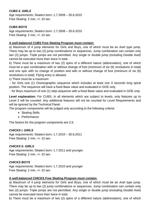## *CUBS II. GIRLS*

Age requirements: Skaters born: 1.7.2009 – 30.6.2010 Free Skating: 2 min, +/- 10 sec

## *CUBS BOYS*

Age requirements: Skaters born: 1.7.2008 – 30.6.2010 Free Skating: 2 min, +/- 10 sec

## **A well-balanced CUBS Free Skating Program must contain:**

a) Maximum of 4 jump elements for Girls and Boys, one of which must be an Axel type jump. There may be up to two (2) jump combinations or sequences. Jump combination can contain only two (2) jumps. Triple jumps are not permitted. Any single or double jump (including Double Axel) cannot be executed more than twice in total.

b) There must be a maximum of two (2) spins of a different nature (abbreviation), one of which must be a spin combination with or without change of foot (minimum of six (6) revolutions in total) and one spin with no change of position and with or without change of foot (minimum of six (6) revolutions in total). Flying entry is allowed.

c) There must be a maximum:

- for Girls one (1) Choreographic sequence which includes at least one 3 seconds long spiral position. The sequence will have a fixed Base value and evaluated in GOE only.

- for Boys maximum of one (1) step sequence with a fixed Base value and evaluated in GOE only.

**Level explanation:** For CUBS, in all elements which are subject to levels, only features up to Level 2 will be counted. Any additional features will not be counted for Level Requirements and will be ignored by the Technical Panel.

The program components will be judged only according to the following criteria:

- Skating Skills
- Performance

The factors for the program components are 2.5.

## *CHICKS I. GIRLS*

Age requirements: Skaters born: 1.7.2010 – 30.6.2011 Free Skating: 2 min, +/- 10 sec

## *CHICKS II. GIRLS*

Age requirements: Skaters born: 1.7.2011 and younger. Free Skating: 2 min, +/- 10 sec

## *CHICKS BOYS*

Age requirements: Skaters born: 1.7.2010 and younger Free Skating: 2 min, +/- 10 sec

## **A well-balanced CHICKS Free Skating Program must contain:**

a) Maximum of 4 jump elements for Girls and Boys, one of which must be an Axel type jump. There may be up to two (2) jump combinations or sequences. Jump combination can contain only two (2) jumps. Triple jumps are not permitted. Any single or double jump (including Double Axel) cannot be executed more than twice in total.

b) There must be a maximum of two (2) spins of a different nature (abbreviation), one of which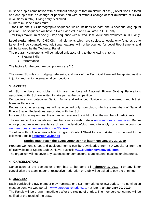must be a spin combination with or without change of foot (minimum of six (6) revolutions in total) and one spin with no change of position and with or without change of foot (minimum of six (6) revolutions in total). Flying entry is allowed

c) There must be a maximum:

- for Girls one (1) Choreographic sequence which includes at least one 3 seconds long spiral position. The sequence will have a fixed Base value and evaluated in GOE only.

- for Boys maximum of one (1) step sequence with a fixed Base value and evaluated in GOE only.

**Level explanation:** For CHICKS, in all elements which are subject to levels, only features up to Level 2 will be counted. Any additional features will not be counted for Level Requirements and will be ignored by the Technical Panel.

The program components will be judged only according to the following criteria:

- Skating Skills
- Performance

The factors for the program components are 2.5.

The same ISU rules on Judging, refereeing and work of the Technical Panel will be applied as it is in junior and senior international competitions.

## 3. *ENTRIES:*

All ISU members and clubs, which are members of National Figure Skating Federations associated with ISU, are invited to take part at the competition.

Competitors from categories Senior, Junior and Advanced Novice must be entered through their Member Federation.

Entries for younger categories will be accepted only from clubs, which are members of National Figure Skating Federations, associated with the ISU.

In case of too many entries, the organizer reserves the right to limit the number of participants.

The entries for the competition must be done via web portal – [www.europeancriterium.eu.](http://www.europeancriterium.eu/) Before entry procedure a representative of each federation/club needs to apply for a new account on [www.europeancriterium.eu/Account/Register.](http://www.europeancriterium.eu/Account/Register)

Together with online entries a filled Program Content Sheet for each skater must be sent to the following e-mail**: [sofiatrophy@bsf.bg](mailto:sofiatrophy@bsf.bg)**

## **Entries must reach the Event Organizer not later than January 20, 2019**

Program Content Sheet and additional forms can be downloaded from ISU website or from the official website of Sports Club Denkova-Staviski: www.**[clubdenkovastaviski.com](http://www.clubdenkovastaviski.com/)**.

The organizer will not cover any expenses for competitors, team leaders, coaches or chaperons.

## 4. *CANCELLATION:*

Cancellation of the competitor entry, has to be done till **February 1, 2019**. For any latter cancellation the team leader of respective Federation or Club will be asked to pay the entry fee.

## 5. *JUDGES:*

Each participating ISU member may nominate one (1) International or ISU Judge. The nomination must be done via web portal – [www.europeancriterium.eu,](http://www.europeancriterium.eu/) not later than **January 20, 2019**. The Panels will be drawn immediately after the closing of entries. The members concerned will be notified of the result of the draw.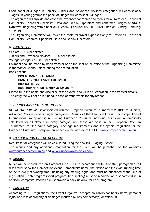Each panel of Judges in Seniors, Juniors and Advanced Novices categories will consist of 5 Judges. In young groups the panel of Judges will consist of 3 Judges.

The organizer will provide and cover the expenses for rooms and meals for all Referees, Technical Controllers, Technical Specialist, Data and Replay Operators and confirmed Judges at *SUITE Hotel\*\*\*\**, beginning with dinner on Tuesday, February 05, 2019 until lunch on Sunday, February 10, 2019.

The Organizing Committee will cover the costs for travel expenses only for Referees, Technical Controllers, Technical Specialist, Data and Replay Operators.

## 6. *ENTRY FEE:*

Seniors – 60 € per skater;

Juniors and Advanced Novices – 50 € per skater;

Younger categories – 45 € per skater;

Payment shall be made by bank transfer or on the spot at the office of the Organizing Committee in the Winter Sports Palace during the accreditation.

Bank account:

## **INVESTBANK BULGARIA IBAN: BG82IORT73711400332500 BIC: IORTBGSF**

## **Bank holder: Club "Denkova-Staviski"**

Please fill in the name and discipline of the skater, and Club or Federation in the transfer details! The entry fee will not be refunded in case of withdrawals for any reason.

## 7. *EUROPEAN CRITERIUM TROPHY:*

*SOFIA TROPHY 2019* is associated with the European Criterium Tournament 2018/19 for Juniors, Advanced Novices and younger categories. Results of the Teams will count for competition of International Trophy of Figure Skating European Criterium. Individual points are automatically calculated for all skaters in every category and those are valid in the European Criterium Tournament for the same category. The age requirements and the special regulation for the European Criterium Trophy are published on the website of the EC: [www.europeancriterium.eu.](http://www.europeancriterium.eu/)

## 8. *CALCULATION OF THE RESULTS:*

Results for all categories will be calculated using the new ISU Judging System.

The results and any additional information for the event will be published on the websites [www.europeancriterium.eu](http://www.europeancriterium.eu/) and [www.clubdenkovastaviski.com.](http://www.clubdenkovastaviski.com/)

## 9. *MUSIC:*

Music will be reproduced on Compact Disc - CD. In accordance with Rule 343, paragraph 1, all discs must show the Competition event, Competitor's name, the Nation and the exact running time of the music (not skating time) including any starting signal and must be submitted at the time of registration. Each program (short program, free skating) must be recorded on a separate disc. In addition, competitors/couples must provide a back-up drive for each program.

## *10.LIABILITY:*

According to ISU regulations, the Event Organizer accepts no liability for bodily harm, personal injury and loss of property or damages incurred by any competitor(s) or official(s).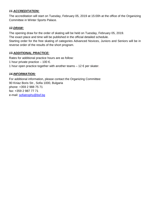## *11.ACCREDITATION:*

The accreditation will start on Tuesday, February 05, 2019 at 15:00h at the office of the Organizing Committee in Winter Sports Palace.

## *12.DRAW:*

The opening draw for the order of skating will be held on Tuesday, February 05, 2019.

The exact place and time will be published in the official detailed schedule.

Starting order for the free skating of categories Advanced Novices, Juniors and Seniors will be in reverse order of the results of the short program.

## *13.ADDITIONAL PRACTICE:*

Rates for additional practice hours are as follow: 1 hour private practice – 100  $\epsilon$ . 1 hour open practice together with another teams  $-12 \epsilon$  per skater.

## *14.INFORMATION:*

For additional information, please contact the Organizing Committee: 90 Kniaz Boris Str., Sofia 1000, Bulgaria phone: +359 2 988 75 71 fax: +359 2 987 77 71 e-mail: [sofiatrophy@bsf.bg](mailto:sofiatrophy@bsf.bg)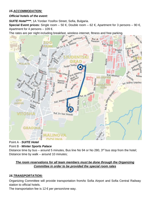## *15.ACCOMMODATION:*

## *Official hotels of the event:*

*SUITE Hotel\*\*\*\**, 1A Yordan Yosifov Street, Sofia, Bulgaria.

**Special Event prices:** Single room – 50 €, Double room – 62 €, Apartment for 3 persons – 90 €, Apartment for 4 persons  $-109 \in$ .



## Point A - *SUITE Hotel*

## Point B - *Winter Sports Palace*

Distance time by bus – around 5 minutes, Bus line No 94 or No 280,  $3<sup>rd</sup>$  bus stop from the hotel; Distance time by walk – around 10 minutes;

## *The room reservations for all team members must be done through the Organizing Committee in order to be provided the special room rates*

## *16.TRANSPORTATION:*

Organizing Committee will provide transportation from/to Sofia Airport and Sofia Central Railway station to official hotels.

The transportation fee is  $12 \epsilon$  per person/one way.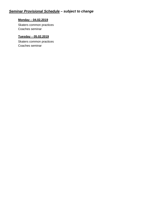## *Seminar Provisional Schedule – subject to change*

## **Monday** – **04.02.2019**

Skaters common practices Coaches seminar

## **Tuesday** – **05.02.2019**

Skaters common practices Coaches seminar